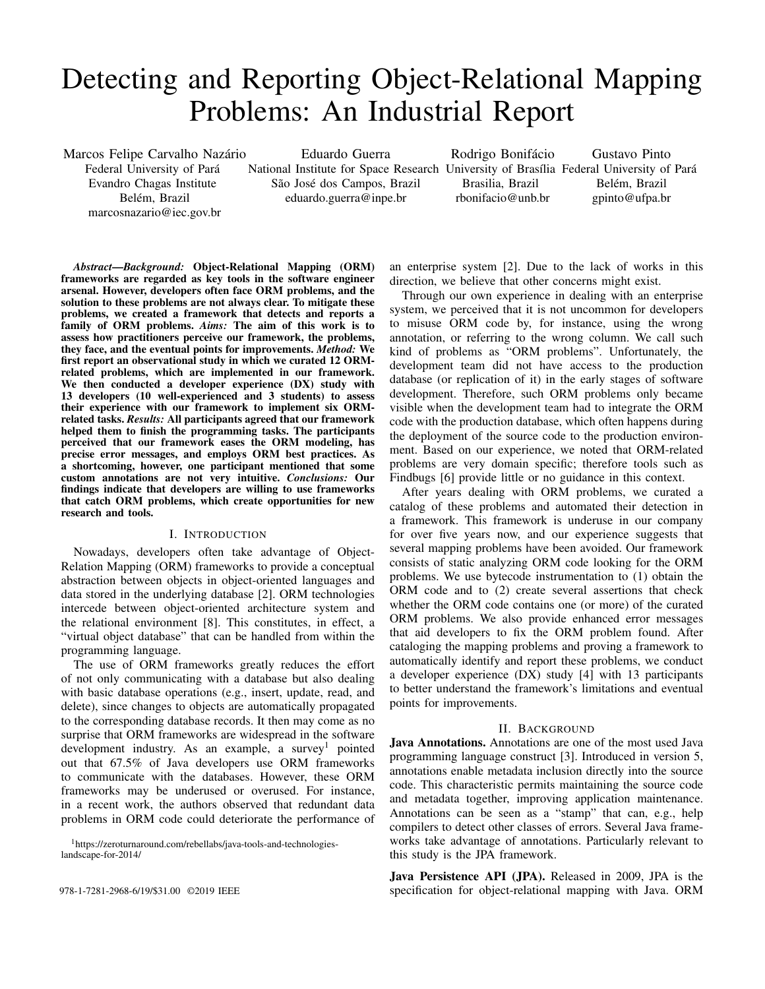# Detecting and Reporting Object-Relational Mapping Problems: An Industrial Report

Marcos Felipe Carvalho Nazário Federal University of Para´ Evandro Chagas Institute Belém, Brazil marcosnazario@iec.gov.br

Eduardo Guerra São José dos Campos, Brazil eduardo.guerra@inpe.br

National Institute for Space Research University of Brasília Federal University of Pará Rodrigo Bonifácio Brasilia, Brazil rbonifacio@unb.br Gustavo Pinto Belém, Brazil gpinto@ufpa.br

*Abstract*—*Background:* Object-Relational Mapping (ORM) frameworks are regarded as key tools in the software engineer arsenal. However, developers often face ORM problems, and the solution to these problems are not always clear. To mitigate these problems, we created a framework that detects and reports a family of ORM problems. *Aims:* The aim of this work is to assess how practitioners perceive our framework, the problems, they face, and the eventual points for improvements. *Method:* We first report an observational study in which we curated 12 ORMrelated problems, which are implemented in our framework. We then conducted a developer experience (DX) study with 13 developers (10 well-experienced and 3 students) to assess their experience with our framework to implement six ORMrelated tasks. *Results:* All participants agreed that our framework helped them to finish the programming tasks. The participants perceived that our framework eases the ORM modeling, has precise error messages, and employs ORM best practices. As a shortcoming, however, one participant mentioned that some custom annotations are not very intuitive. *Conclusions:* Our findings indicate that developers are willing to use frameworks that catch ORM problems, which create opportunities for new research and tools.

## I. INTRODUCTION

Nowadays, developers often take advantage of Object-Relation Mapping (ORM) frameworks to provide a conceptual abstraction between objects in object-oriented languages and data stored in the underlying database [2]. ORM technologies intercede between object-oriented architecture system and the relational environment [8]. This constitutes, in effect, a "virtual object database" that can be handled from within the programming language.

The use of ORM frameworks greatly reduces the effort of not only communicating with a database but also dealing with basic database operations (e.g., insert, update, read, and delete), since changes to objects are automatically propagated to the corresponding database records. It then may come as no surprise that ORM frameworks are widespread in the software development industry. As an example, a survey<sup>1</sup> pointed out that 67.5% of Java developers use ORM frameworks to communicate with the databases. However, these ORM frameworks may be underused or overused. For instance, in a recent work, the authors observed that redundant data problems in ORM code could deteriorate the performance of

<sup>1</sup>https://zeroturnaround.com/rebellabs/java-tools-and-technologieslandscape-for-2014/

an enterprise system [2]. Due to the lack of works in this direction, we believe that other concerns might exist.

Through our own experience in dealing with an enterprise system, we perceived that it is not uncommon for developers to misuse ORM code by, for instance, using the wrong annotation, or referring to the wrong column. We call such kind of problems as "ORM problems". Unfortunately, the development team did not have access to the production database (or replication of it) in the early stages of software development. Therefore, such ORM problems only became visible when the development team had to integrate the ORM code with the production database, which often happens during the deployment of the source code to the production environment. Based on our experience, we noted that ORM-related problems are very domain specific; therefore tools such as Findbugs [6] provide little or no guidance in this context.

After years dealing with ORM problems, we curated a catalog of these problems and automated their detection in a framework. This framework is underuse in our company for over five years now, and our experience suggests that several mapping problems have been avoided. Our framework consists of static analyzing ORM code looking for the ORM problems. We use bytecode instrumentation to (1) obtain the ORM code and to (2) create several assertions that check whether the ORM code contains one (or more) of the curated ORM problems. We also provide enhanced error messages that aid developers to fix the ORM problem found. After cataloging the mapping problems and proving a framework to automatically identify and report these problems, we conduct a developer experience (DX) study [4] with 13 participants to better understand the framework's limitations and eventual points for improvements.

### II. BACKGROUND

Java Annotations. Annotations are one of the most used Java programming language construct [3]. Introduced in version 5, annotations enable metadata inclusion directly into the source code. This characteristic permits maintaining the source code and metadata together, improving application maintenance. Annotations can be seen as a "stamp" that can, e.g., help compilers to detect other classes of errors. Several Java frameworks take advantage of annotations. Particularly relevant to this study is the JPA framework.

Java Persistence API (JPA). Released in 2009, JPA is the 978-1-7281-2968-6/19/\$31.00 ©2019 IEEE specification for object-relational mapping with Java. ORM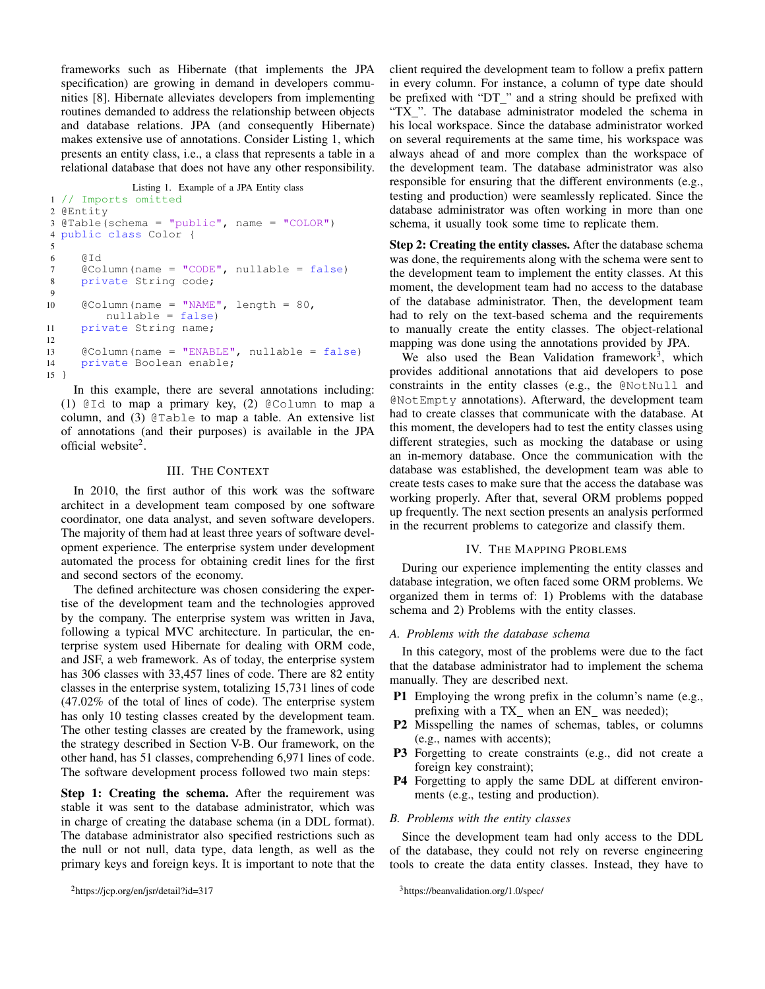frameworks such as Hibernate (that implements the JPA specification) are growing in demand in developers communities [8]. Hibernate alleviates developers from implementing routines demanded to address the relationship between objects and database relations. JPA (and consequently Hibernate) makes extensive use of annotations. Consider Listing 1, which presents an entity class, i.e., a class that represents a table in a relational database that does not have any other responsibility.

```
Listing 1. Example of a JPA Entity class
1 // Imports omitted
2 @Entity
3 @Table(schema = "public", name = "COLOR")
4 public class Color {
5
6 @Id
7 @Column(name = "CODE", nullable = false)
8 private String code;
\overline{Q}10 @Column(name = "NAME", length = 80,
         nullable = false)
11 private String name;
12
13 @Column(name = "ENABLE", nullable = false)<br>14 private Boolean enable;
     private Boolean enable;
```
15 }

In this example, there are several annotations including: (1) @Id to map a primary key, (2) @Column to map a column, and (3) @Table to map a table. An extensive list of annotations (and their purposes) is available in the JPA official website<sup>2</sup>.

### III. THE CONTEXT

In 2010, the first author of this work was the software architect in a development team composed by one software coordinator, one data analyst, and seven software developers. The majority of them had at least three years of software development experience. The enterprise system under development automated the process for obtaining credit lines for the first and second sectors of the economy.

The defined architecture was chosen considering the expertise of the development team and the technologies approved by the company. The enterprise system was written in Java, following a typical MVC architecture. In particular, the enterprise system used Hibernate for dealing with ORM code, and JSF, a web framework. As of today, the enterprise system has 306 classes with 33,457 lines of code. There are 82 entity classes in the enterprise system, totalizing 15,731 lines of code (47.02% of the total of lines of code). The enterprise system has only 10 testing classes created by the development team. The other testing classes are created by the framework, using the strategy described in Section V-B. Our framework, on the other hand, has 51 classes, comprehending 6,971 lines of code. The software development process followed two main steps:

**Step 1: Creating the schema.** After the requirement was stable it was sent to the database administrator, which was in charge of creating the database schema (in a DDL format). The database administrator also specified restrictions such as the null or not null, data type, data length, as well as the primary keys and foreign keys. It is important to note that the

client required the development team to follow a prefix pattern in every column. For instance, a column of type date should be prefixed with "DT\_" and a string should be prefixed with "TX $\therefore$ ". The database administrator modeled the schema in his local workspace. Since the database administrator worked on several requirements at the same time, his workspace was always ahead of and more complex than the workspace of the development team. The database administrator was also responsible for ensuring that the different environments (e.g., testing and production) were seamlessly replicated. Since the database administrator was often working in more than one schema, it usually took some time to replicate them.

Step 2: Creating the entity classes. After the database schema was done, the requirements along with the schema were sent to the development team to implement the entity classes. At this moment, the development team had no access to the database of the database administrator. Then, the development team had to rely on the text-based schema and the requirements to manually create the entity classes. The object-relational mapping was done using the annotations provided by JPA.

We also used the Bean Validation framework<sup>3</sup>, which provides additional annotations that aid developers to pose constraints in the entity classes (e.g., the @NotNull and @NotEmpty annotations). Afterward, the development team had to create classes that communicate with the database. At this moment, the developers had to test the entity classes using different strategies, such as mocking the database or using an in-memory database. Once the communication with the database was established, the development team was able to create tests cases to make sure that the access the database was working properly. After that, several ORM problems popped up frequently. The next section presents an analysis performed in the recurrent problems to categorize and classify them.

# IV. THE MAPPING PROBLEMS

During our experience implementing the entity classes and database integration, we often faced some ORM problems. We organized them in terms of: 1) Problems with the database schema and 2) Problems with the entity classes.

#### *A. Problems with the database schema*

In this category, most of the problems were due to the fact that the database administrator had to implement the schema manually. They are described next.

- P1 Employing the wrong prefix in the column's name (e.g., prefixing with a  $TX$  when an  $EN$  was needed);
- P2 Misspelling the names of schemas, tables, or columns (e.g., names with accents);
- P3 Forgetting to create constraints (e.g., did not create a foreign key constraint);
- P4 Forgetting to apply the same DDL at different environments (e.g., testing and production).

## *B. Problems with the entity classes*

Since the development team had only access to the DDL of the database, they could not rely on reverse engineering tools to create the data entity classes. Instead, they have to

```
2https://jcp.org/en/jsr/detail?id=317
```
<sup>3</sup>https://beanvalidation.org/1.0/spec/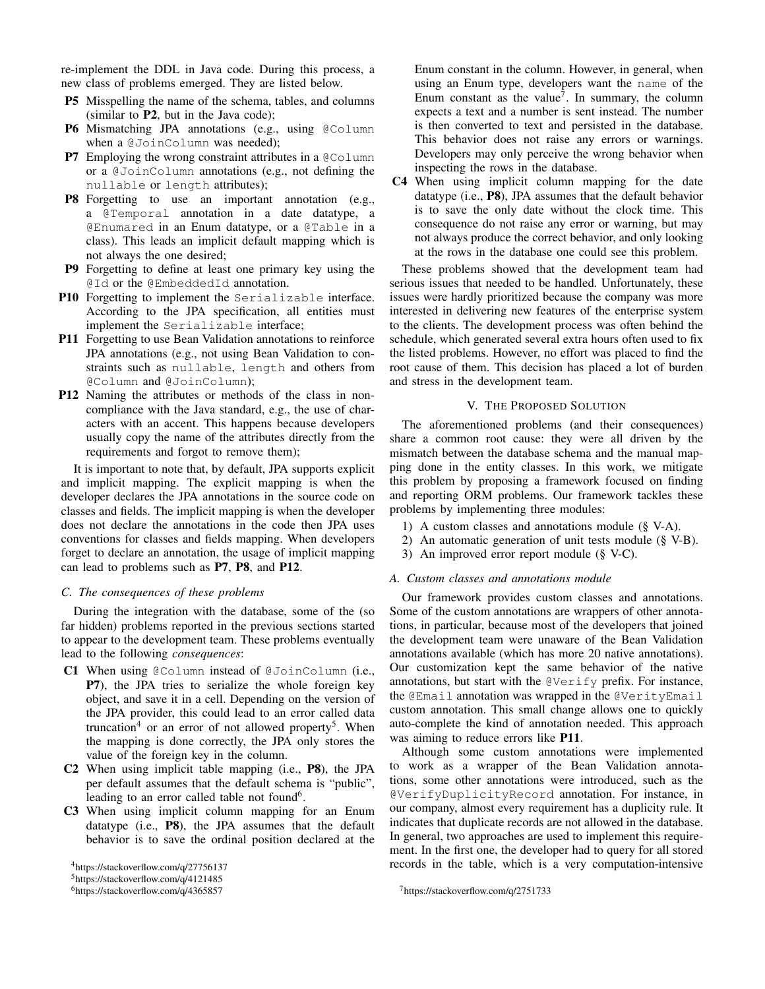re-implement the DDL in Java code. During this process, a new class of problems emerged. They are listed below.

- P5 Misspelling the name of the schema, tables, and columns (similar to P2, but in the Java code);
- P6 Mismatching JPA annotations (e.g., using @Column when a @JoinColumn was needed);
- P7 Employing the wrong constraint attributes in a @Column or a @JoinColumn annotations (e.g., not defining the nullable or length attributes);
- P8 Forgetting to use an important annotation (e.g., a @Temporal annotation in a date datatype, a @Enumared in an Enum datatype, or a @Table in a class). This leads an implicit default mapping which is not always the one desired;
- P9 Forgetting to define at least one primary key using the @Id or the @EmbeddedId annotation.
- P10 Forgetting to implement the Serializable interface. According to the JPA specification, all entities must implement the Serializable interface;
- P11 Forgetting to use Bean Validation annotations to reinforce JPA annotations (e.g., not using Bean Validation to constraints such as nullable, length and others from @Column and @JoinColumn);
- P12 Naming the attributes or methods of the class in noncompliance with the Java standard, e.g., the use of characters with an accent. This happens because developers usually copy the name of the attributes directly from the requirements and forgot to remove them);

It is important to note that, by default, JPA supports explicit and implicit mapping. The explicit mapping is when the developer declares the JPA annotations in the source code on classes and fields. The implicit mapping is when the developer does not declare the annotations in the code then JPA uses conventions for classes and fields mapping. When developers forget to declare an annotation, the usage of implicit mapping can lead to problems such as P7, P8, and P12.

#### *C. The consequences of these problems*

During the integration with the database, some of the (so far hidden) problems reported in the previous sections started to appear to the development team. These problems eventually lead to the following *consequences*:

- C1 When using @Column instead of @JoinColumn (i.e., P7), the JPA tries to serialize the whole foreign key object, and save it in a cell. Depending on the version of the JPA provider, this could lead to an error called data truncation<sup>4</sup> or an error of not allowed property<sup>5</sup>. When the mapping is done correctly, the JPA only stores the value of the foreign key in the column.
- C2 When using implicit table mapping (i.e., P8), the JPA per default assumes that the default schema is "public", leading to an error called table not found<sup>6</sup>.
- C3 When using implicit column mapping for an Enum datatype (i.e., P8), the JPA assumes that the default behavior is to save the ordinal position declared at the

Enum constant in the column. However, in general, when using an Enum type, developers want the name of the Enum constant as the value<sup>7</sup>. In summary, the column expects a text and a number is sent instead. The number is then converted to text and persisted in the database. This behavior does not raise any errors or warnings. Developers may only perceive the wrong behavior when inspecting the rows in the database.

C4 When using implicit column mapping for the date datatype (i.e., P8), JPA assumes that the default behavior is to save the only date without the clock time. This consequence do not raise any error or warning, but may not always produce the correct behavior, and only looking at the rows in the database one could see this problem.

These problems showed that the development team had serious issues that needed to be handled. Unfortunately, these issues were hardly prioritized because the company was more interested in delivering new features of the enterprise system to the clients. The development process was often behind the schedule, which generated several extra hours often used to fix the listed problems. However, no effort was placed to find the root cause of them. This decision has placed a lot of burden and stress in the development team.

## V. THE PROPOSED SOLUTION

The aforementioned problems (and their consequences) share a common root cause: they were all driven by the mismatch between the database schema and the manual mapping done in the entity classes. In this work, we mitigate this problem by proposing a framework focused on finding and reporting ORM problems. Our framework tackles these problems by implementing three modules:

- 1) A custom classes and annotations module (§ V-A).
- 2) An automatic generation of unit tests module (§ V-B).
- 3) An improved error report module (§ V-C).

# *A. Custom classes and annotations module*

Our framework provides custom classes and annotations. Some of the custom annotations are wrappers of other annotations, in particular, because most of the developers that joined the development team were unaware of the Bean Validation annotations available (which has more 20 native annotations). Our customization kept the same behavior of the native annotations, but start with the @Verify prefix. For instance, the @Email annotation was wrapped in the @VerityEmail custom annotation. This small change allows one to quickly auto-complete the kind of annotation needed. This approach was aiming to reduce errors like **P11**.

Although some custom annotations were implemented to work as a wrapper of the Bean Validation annotations, some other annotations were introduced, such as the @VerifyDuplicityRecord annotation. For instance, in our company, almost every requirement has a duplicity rule. It indicates that duplicate records are not allowed in the database. In general, two approaches are used to implement this requirement. In the first one, the developer had to query for all stored records in the table, which is a very computation-intensive

<sup>4</sup>https://stackoverflow.com/q/27756137

<sup>5</sup>https://stackoverflow.com/q/4121485

<sup>6</sup>https://stackoverflow.com/q/4365857

<sup>7</sup>https://stackoverflow.com/q/2751733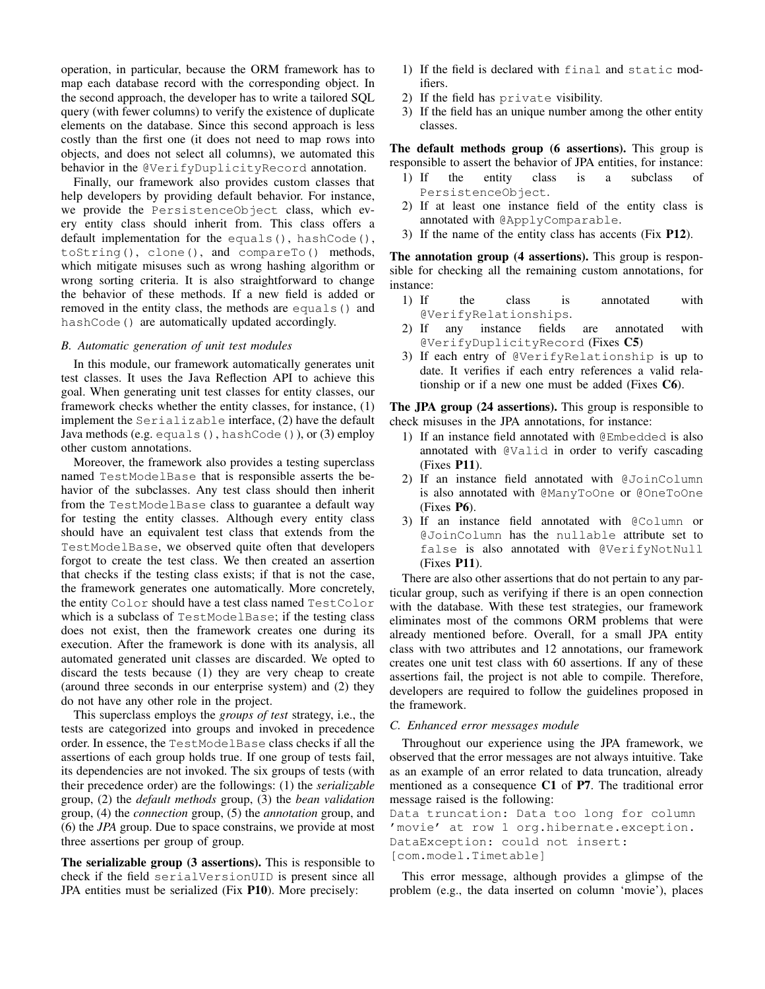operation, in particular, because the ORM framework has to map each database record with the corresponding object. In the second approach, the developer has to write a tailored SQL query (with fewer columns) to verify the existence of duplicate elements on the database. Since this second approach is less costly than the first one (it does not need to map rows into objects, and does not select all columns), we automated this behavior in the @VerifyDuplicityRecord annotation.

Finally, our framework also provides custom classes that help developers by providing default behavior. For instance, we provide the PersistenceObject class, which every entity class should inherit from. This class offers a default implementation for the equals(), hashCode(), toString(), clone(), and compareTo() methods, which mitigate misuses such as wrong hashing algorithm or wrong sorting criteria. It is also straightforward to change the behavior of these methods. If a new field is added or removed in the entity class, the methods are equals() and hashCode() are automatically updated accordingly.

## *B. Automatic generation of unit test modules*

In this module, our framework automatically generates unit test classes. It uses the Java Reflection API to achieve this goal. When generating unit test classes for entity classes, our framework checks whether the entity classes, for instance, (1) implement the Serializable interface, (2) have the default Java methods (e.g. equals(), hashCode()), or (3) employ other custom annotations.

Moreover, the framework also provides a testing superclass named TestModelBase that is responsible asserts the behavior of the subclasses. Any test class should then inherit from the TestModelBase class to guarantee a default way for testing the entity classes. Although every entity class should have an equivalent test class that extends from the TestModelBase, we observed quite often that developers forgot to create the test class. We then created an assertion that checks if the testing class exists; if that is not the case, the framework generates one automatically. More concretely, the entity Color should have a test class named TestColor which is a subclass of TestModelBase; if the testing class does not exist, then the framework creates one during its execution. After the framework is done with its analysis, all automated generated unit classes are discarded. We opted to discard the tests because (1) they are very cheap to create (around three seconds in our enterprise system) and (2) they do not have any other role in the project.

This superclass employs the *groups of test* strategy, i.e., the tests are categorized into groups and invoked in precedence order. In essence, the TestModelBase class checks if all the assertions of each group holds true. If one group of tests fail, its dependencies are not invoked. The six groups of tests (with their precedence order) are the followings: (1) the *serializable* group, (2) the *default methods* group, (3) the *bean validation* group, (4) the *connection* group, (5) the *annotation* group, and (6) the *JPA* group. Due to space constrains, we provide at most three assertions per group of group.

The serializable group (3 assertions). This is responsible to check if the field serialVersionUID is present since all JPA entities must be serialized (Fix P10). More precisely:

- 1) If the field is declared with final and static modifiers.
- 2) If the field has private visibility.
- 3) If the field has an unique number among the other entity classes.

The default methods group (6 assertions). This group is responsible to assert the behavior of JPA entities, for instance:

- 1) If the entity class is a subclass of PersistenceObject.
- 2) If at least one instance field of the entity class is annotated with @ApplyComparable.
- 3) If the name of the entity class has accents (Fix P12).

The annotation group (4 assertions). This group is responsible for checking all the remaining custom annotations, for instance:

- 1) If the class is annotated with @VerifyRelationships.
- 2) If any instance fields are annotated with @VerifyDuplicityRecord (Fixes C5)
- 3) If each entry of @VerifyRelationship is up to date. It verifies if each entry references a valid relationship or if a new one must be added (Fixes  $C6$ ).

The JPA group (24 assertions). This group is responsible to check misuses in the JPA annotations, for instance:

- 1) If an instance field annotated with @Embedded is also annotated with @Valid in order to verify cascading (Fixes P11).
- 2) If an instance field annotated with @JoinColumn is also annotated with @ManyToOne or @OneToOne (Fixes P6).
- 3) If an instance field annotated with @Column or @JoinColumn has the nullable attribute set to false is also annotated with @VerifyNotNull (Fixes P11).

There are also other assertions that do not pertain to any particular group, such as verifying if there is an open connection with the database. With these test strategies, our framework eliminates most of the commons ORM problems that were already mentioned before. Overall, for a small JPA entity class with two attributes and 12 annotations, our framework creates one unit test class with 60 assertions. If any of these assertions fail, the project is not able to compile. Therefore, developers are required to follow the guidelines proposed in the framework.

## *C. Enhanced error messages module*

Throughout our experience using the JPA framework, we observed that the error messages are not always intuitive. Take as an example of an error related to data truncation, already mentioned as a consequence C1 of P7. The traditional error message raised is the following:

```
Data truncation: Data too long for column
'movie' at row 1 org.hibernate.exception.
DataException: could not insert:
[com.model.Timetable]
```
This error message, although provides a glimpse of the problem (e.g., the data inserted on column 'movie'), places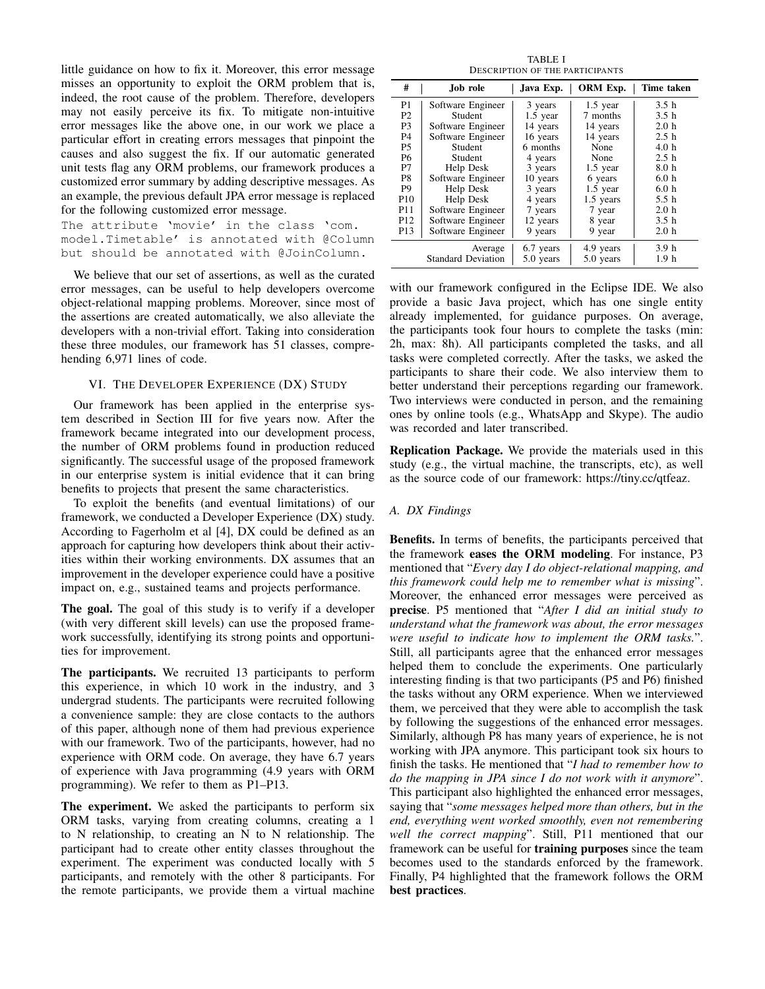little guidance on how to fix it. Moreover, this error message misses an opportunity to exploit the ORM problem that is, indeed, the root cause of the problem. Therefore, developers may not easily perceive its fix. To mitigate non-intuitive error messages like the above one, in our work we place a particular effort in creating errors messages that pinpoint the causes and also suggest the fix. If our automatic generated unit tests flag any ORM problems, our framework produces a customized error summary by adding descriptive messages. As an example, the previous default JPA error message is replaced for the following customized error message.

The attribute 'movie' in the class 'com. model.Timetable' is annotated with @Column but should be annotated with @JoinColumn.

We believe that our set of assertions, as well as the curated error messages, can be useful to help developers overcome object-relational mapping problems. Moreover, since most of the assertions are created automatically, we also alleviate the developers with a non-trivial effort. Taking into consideration these three modules, our framework has 51 classes, comprehending 6,971 lines of code.

## VI. THE DEVELOPER EXPERIENCE (DX) STUDY

Our framework has been applied in the enterprise system described in Section III for five years now. After the framework became integrated into our development process, the number of ORM problems found in production reduced significantly. The successful usage of the proposed framework in our enterprise system is initial evidence that it can bring benefits to projects that present the same characteristics.

To exploit the benefits (and eventual limitations) of our framework, we conducted a Developer Experience (DX) study. According to Fagerholm et al [4], DX could be defined as an approach for capturing how developers think about their activities within their working environments. DX assumes that an improvement in the developer experience could have a positive impact on, e.g., sustained teams and projects performance.

The goal. The goal of this study is to verify if a developer (with very different skill levels) can use the proposed framework successfully, identifying its strong points and opportunities for improvement.

The participants. We recruited 13 participants to perform this experience, in which 10 work in the industry, and 3 undergrad students. The participants were recruited following a convenience sample: they are close contacts to the authors of this paper, although none of them had previous experience with our framework. Two of the participants, however, had no experience with ORM code. On average, they have 6.7 years of experience with Java programming (4.9 years with ORM programming). We refer to them as P1–P13.

The experiment. We asked the participants to perform six ORM tasks, varying from creating columns, creating a 1 to N relationship, to creating an N to N relationship. The participant had to create other entity classes throughout the experiment. The experiment was conducted locally with 5 participants, and remotely with the other 8 participants. For the remote participants, we provide them a virtual machine

TABLE I DESCRIPTION OF THE PARTICIPANTS

| #               | Job role                  | Java Exp.  | ORM Exp.   | Time taken       |
|-----------------|---------------------------|------------|------------|------------------|
| P <sub>1</sub>  | Software Engineer         | 3 years    | $1.5$ year | 3.5 <sub>h</sub> |
| P <sub>2</sub>  | Student                   | $1.5$ year | 7 months   | 3.5 <sub>h</sub> |
| P <sub>3</sub>  | Software Engineer         | 14 years   | 14 years   | 2.0 <sub>h</sub> |
| P <sub>4</sub>  | Software Engineer         | 16 years   | 14 years   | 2.5 <sub>h</sub> |
| P <sub>5</sub>  | Student                   | 6 months   | None       | 4.0 <sub>h</sub> |
| <b>P6</b>       | Student                   | 4 years    | None       | 2.5 <sub>h</sub> |
| P7              | Help Desk                 | 3 years    | $1.5$ year | 8.0 <sub>h</sub> |
| P <sub>8</sub>  | Software Engineer         | 10 years   | 6 years    | 6.0 <sub>h</sub> |
| P <sub>9</sub>  | Help Desk                 | 3 years    | $1.5$ year | 6.0 <sub>h</sub> |
| P <sub>10</sub> | Help Desk                 | 4 years    | 1.5 years  | 5.5 <sub>h</sub> |
| P <sub>11</sub> | Software Engineer         | 7 years    | 7 year     | 2.0 <sub>h</sub> |
| P <sub>12</sub> | Software Engineer         | 12 years   | 8 year     | 3.5 <sub>h</sub> |
| P <sub>13</sub> | Software Engineer         | 9 years    | 9 year     | 2.0 <sub>h</sub> |
|                 | Average                   | 6.7 years  | 4.9 years  | 3.9 <sub>h</sub> |
|                 | <b>Standard Deviation</b> | 5.0 years  | 5.0 years  | 1.9 <sub>h</sub> |

with our framework configured in the Eclipse IDE. We also provide a basic Java project, which has one single entity already implemented, for guidance purposes. On average, the participants took four hours to complete the tasks (min: 2h, max: 8h). All participants completed the tasks, and all tasks were completed correctly. After the tasks, we asked the participants to share their code. We also interview them to better understand their perceptions regarding our framework. Two interviews were conducted in person, and the remaining ones by online tools (e.g., WhatsApp and Skype). The audio was recorded and later transcribed.

Replication Package. We provide the materials used in this study (e.g., the virtual machine, the transcripts, etc), as well as the source code of our framework: https://tiny.cc/qtfeaz.

# *A. DX Findings*

Benefits. In terms of benefits, the participants perceived that the framework eases the ORM modeling. For instance, P3 mentioned that "*Every day I do object-relational mapping, and this framework could help me to remember what is missing*". Moreover, the enhanced error messages were perceived as precise. P5 mentioned that "*After I did an initial study to understand what the framework was about, the error messages were useful to indicate how to implement the ORM tasks.*". Still, all participants agree that the enhanced error messages helped them to conclude the experiments. One particularly interesting finding is that two participants (P5 and P6) finished the tasks without any ORM experience. When we interviewed them, we perceived that they were able to accomplish the task by following the suggestions of the enhanced error messages. Similarly, although P8 has many years of experience, he is not working with JPA anymore. This participant took six hours to finish the tasks. He mentioned that "*I had to remember how to do the mapping in JPA since I do not work with it anymore*". This participant also highlighted the enhanced error messages, saying that "*some messages helped more than others, but in the end, everything went worked smoothly, even not remembering well the correct mapping*". Still, P11 mentioned that our framework can be useful for training purposes since the team becomes used to the standards enforced by the framework. Finally, P4 highlighted that the framework follows the ORM best practices.